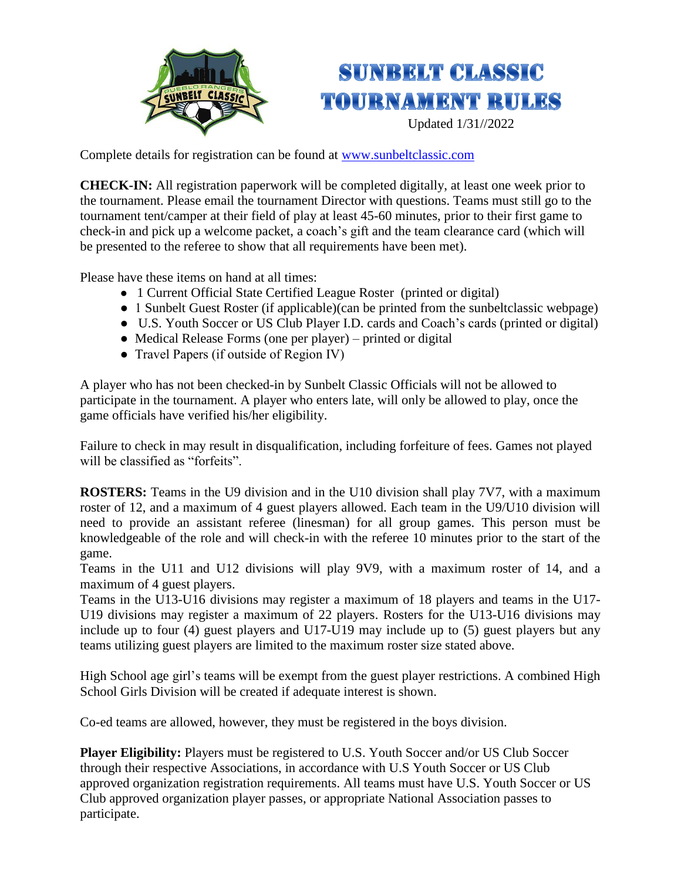

## **SUNRELT CLASSIC TOURNAMENT RULES**

Updated 1/31//2022

Complete details for registration can be found at [www.sunbeltclassic.com](http://www.sunbeltclassic.com/)

**CHECK-IN:** All registration paperwork will be completed digitally, at least one week prior to the tournament. Please email the tournament Director with questions. Teams must still go to the tournament tent/camper at their field of play at least 45-60 minutes, prior to their first game to check-in and pick up a welcome packet, a coach's gift and the team clearance card (which will be presented to the referee to show that all requirements have been met).

Please have these items on hand at all times:

- 1 Current Official State Certified League Roster (printed or digital)
- 1 Sunbelt Guest Roster (if applicable)(can be printed from the sunbeltclassic webpage)
- U.S. Youth Soccer or US Club Player I.D. cards and Coach's cards (printed or digital)
- Medical Release Forms (one per player) printed or digital
- Travel Papers (if outside of Region IV)

A player who has not been checked-in by Sunbelt Classic Officials will not be allowed to participate in the tournament. A player who enters late, will only be allowed to play, once the game officials have verified his/her eligibility.

Failure to check in may result in disqualification, including forfeiture of fees. Games not played will be classified as "forfeits".

**ROSTERS:** Teams in the U9 division and in the U10 division shall play 7V7, with a maximum roster of 12, and a maximum of 4 guest players allowed. Each team in the U9/U10 division will need to provide an assistant referee (linesman) for all group games. This person must be knowledgeable of the role and will check-in with the referee 10 minutes prior to the start of the game.

Teams in the U11 and U12 divisions will play 9V9, with a maximum roster of 14, and a maximum of 4 guest players.

Teams in the U13-U16 divisions may register a maximum of 18 players and teams in the U17- U19 divisions may register a maximum of 22 players. Rosters for the U13-U16 divisions may include up to four (4) guest players and U17-U19 may include up to (5) guest players but any teams utilizing guest players are limited to the maximum roster size stated above.

High School age girl's teams will be exempt from the guest player restrictions. A combined High School Girls Division will be created if adequate interest is shown.

Co-ed teams are allowed, however, they must be registered in the boys division.

**Player Eligibility:** Players must be registered to U.S. Youth Soccer and/or US Club Soccer through their respective Associations, in accordance with U.S Youth Soccer or US Club approved organization registration requirements. All teams must have U.S. Youth Soccer or US Club approved organization player passes, or appropriate National Association passes to participate.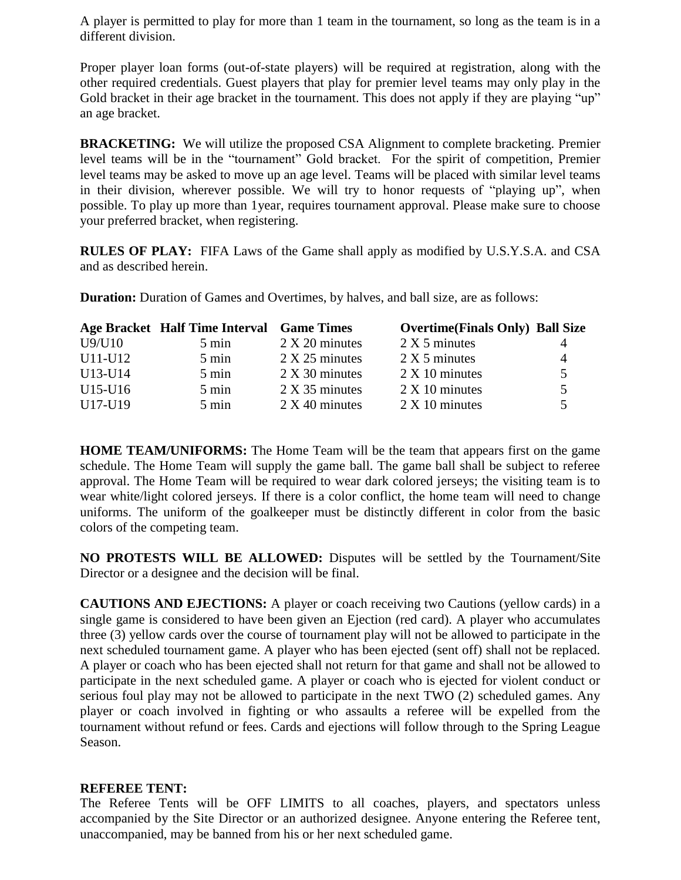A player is permitted to play for more than 1 team in the tournament, so long as the team is in a different division.

Proper player loan forms (out-of-state players) will be required at registration, along with the other required credentials. Guest players that play for premier level teams may only play in the Gold bracket in their age bracket in the tournament. This does not apply if they are playing "up" an age bracket.

**BRACKETING:** We will utilize the proposed CSA Alignment to complete bracketing. Premier level teams will be in the "tournament" Gold bracket. For the spirit of competition, Premier level teams may be asked to move up an age level. Teams will be placed with similar level teams in their division, wherever possible. We will try to honor requests of "playing up", when possible. To play up more than 1year, requires tournament approval. Please make sure to choose your preferred bracket, when registering.

**RULES OF PLAY:** FIFA Laws of the Game shall apply as modified by U.S.Y.S.A. and CSA and as described herein.

|         | Age Bracket Half Time Interval Game Times |                  | <b>Overtime(Finals Only) Ball Size</b> |    |
|---------|-------------------------------------------|------------------|----------------------------------------|----|
| U9/U10  | 5 min                                     | $2 X 20$ minutes | 2 X 5 minutes                          |    |
| U11-U12 | $5 \text{ min}$                           | $2 X 25$ minutes | 2 X 5 minutes                          | 4  |
| U13-U14 | $5 \text{ min}$                           | $2 X 30$ minutes | $2 \times 10$ minutes                  | 5. |
| U15-U16 | $5 \text{ min}$                           | $2 X 35$ minutes | $2 \times 10$ minutes                  | 5. |
| U17-U19 | $5 \text{ min}$                           | $2 X 40$ minutes | $2 \times 10$ minutes                  |    |

**Duration:** Duration of Games and Overtimes, by halves, and ball size, are as follows:

**HOME TEAM/UNIFORMS:** The Home Team will be the team that appears first on the game schedule. The Home Team will supply the game ball. The game ball shall be subject to referee approval. The Home Team will be required to wear dark colored jerseys; the visiting team is to wear white/light colored jerseys. If there is a color conflict, the home team will need to change uniforms. The uniform of the goalkeeper must be distinctly different in color from the basic colors of the competing team.

**NO PROTESTS WILL BE ALLOWED:** Disputes will be settled by the Tournament/Site Director or a designee and the decision will be final.

**CAUTIONS AND EJECTIONS:** A player or coach receiving two Cautions (yellow cards) in a single game is considered to have been given an Ejection (red card). A player who accumulates three (3) yellow cards over the course of tournament play will not be allowed to participate in the next scheduled tournament game. A player who has been ejected (sent off) shall not be replaced. A player or coach who has been ejected shall not return for that game and shall not be allowed to participate in the next scheduled game. A player or coach who is ejected for violent conduct or serious foul play may not be allowed to participate in the next TWO (2) scheduled games. Any player or coach involved in fighting or who assaults a referee will be expelled from the tournament without refund or fees. Cards and ejections will follow through to the Spring League Season.

## **REFEREE TENT:**

The Referee Tents will be OFF LIMITS to all coaches, players, and spectators unless accompanied by the Site Director or an authorized designee. Anyone entering the Referee tent, unaccompanied, may be banned from his or her next scheduled game.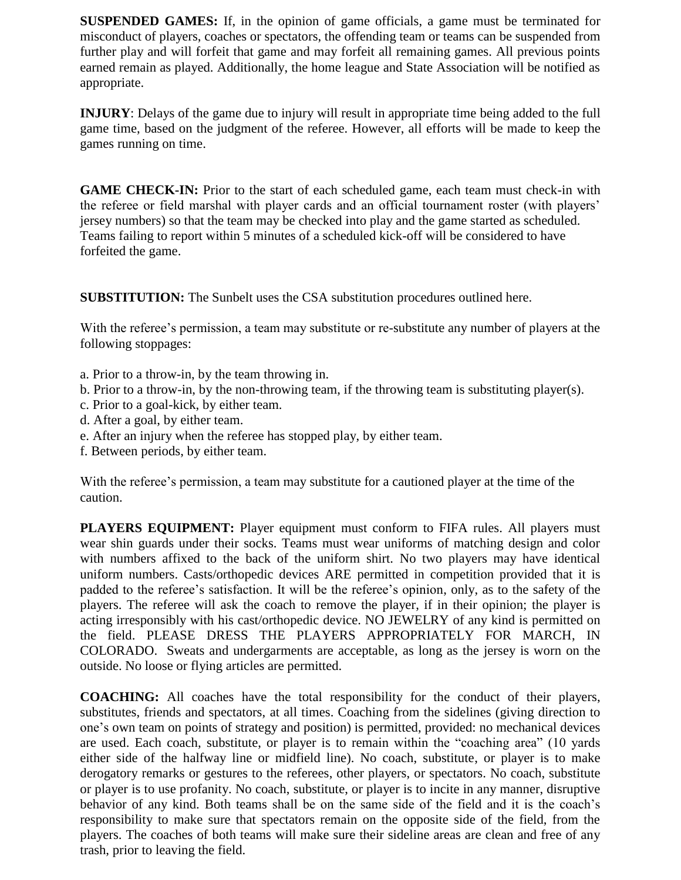**SUSPENDED GAMES:** If, in the opinion of game officials, a game must be terminated for misconduct of players, coaches or spectators, the offending team or teams can be suspended from further play and will forfeit that game and may forfeit all remaining games. All previous points earned remain as played. Additionally, the home league and State Association will be notified as appropriate.

**INJURY**: Delays of the game due to injury will result in appropriate time being added to the full game time, based on the judgment of the referee. However, all efforts will be made to keep the games running on time.

**GAME CHECK-IN:** Prior to the start of each scheduled game, each team must check-in with the referee or field marshal with player cards and an official tournament roster (with players' jersey numbers) so that the team may be checked into play and the game started as scheduled. Teams failing to report within 5 minutes of a scheduled kick-off will be considered to have forfeited the game.

**SUBSTITUTION:** The Sunbelt uses the CSA substitution procedures outlined here.

With the referee's permission, a team may substitute or re-substitute any number of players at the following stoppages:

- a. Prior to a throw-in, by the team throwing in.
- b. Prior to a throw-in, by the non-throwing team, if the throwing team is substituting player(s).
- c. Prior to a goal-kick, by either team.
- d. After a goal, by either team.
- e. After an injury when the referee has stopped play, by either team.
- f. Between periods, by either team.

With the referee's permission, a team may substitute for a cautioned player at the time of the caution.

**PLAYERS EQUIPMENT:** Player equipment must conform to FIFA rules. All players must wear shin guards under their socks. Teams must wear uniforms of matching design and color with numbers affixed to the back of the uniform shirt. No two players may have identical uniform numbers. Casts/orthopedic devices ARE permitted in competition provided that it is padded to the referee's satisfaction. It will be the referee's opinion, only, as to the safety of the players. The referee will ask the coach to remove the player, if in their opinion; the player is acting irresponsibly with his cast/orthopedic device. NO JEWELRY of any kind is permitted on the field. PLEASE DRESS THE PLAYERS APPROPRIATELY FOR MARCH, IN COLORADO. Sweats and undergarments are acceptable, as long as the jersey is worn on the outside. No loose or flying articles are permitted.

**COACHING:** All coaches have the total responsibility for the conduct of their players, substitutes, friends and spectators, at all times. Coaching from the sidelines (giving direction to one's own team on points of strategy and position) is permitted, provided: no mechanical devices are used. Each coach, substitute, or player is to remain within the "coaching area" (10 yards either side of the halfway line or midfield line). No coach, substitute, or player is to make derogatory remarks or gestures to the referees, other players, or spectators. No coach, substitute or player is to use profanity. No coach, substitute, or player is to incite in any manner, disruptive behavior of any kind. Both teams shall be on the same side of the field and it is the coach's responsibility to make sure that spectators remain on the opposite side of the field, from the players. The coaches of both teams will make sure their sideline areas are clean and free of any trash, prior to leaving the field.